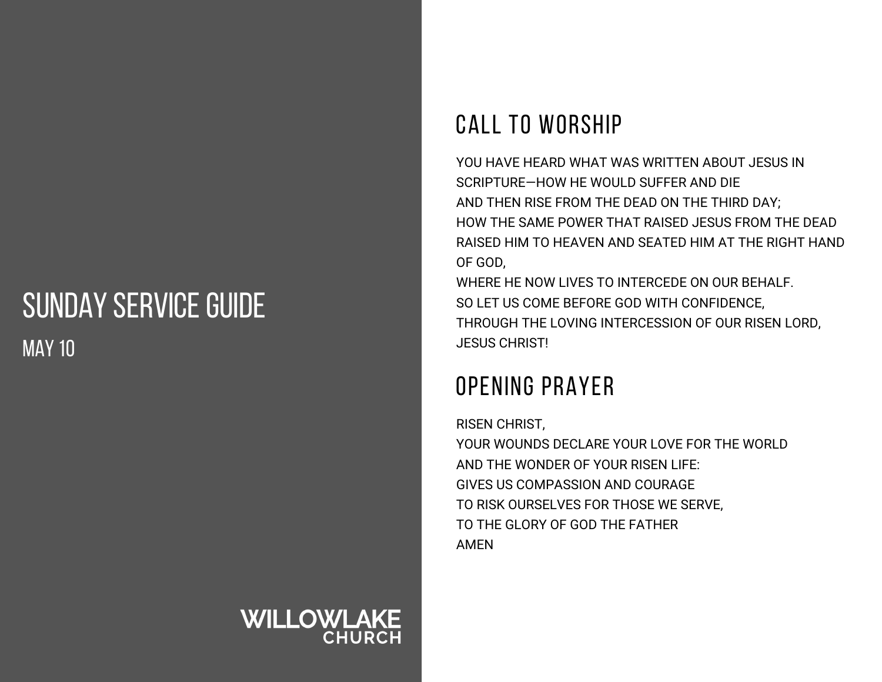## SUNDAY SERVICE GUIDE MAY 10

**WILLOWLAKE** 

# CALL TO WORSHIP

YOU HAVE HEARD WHAT WAS WRITTEN ABOUT JESUS IN SCRIPTURE—HOW HE WOULD SUFFER AND DIF AND THEN RISE FROM THE DEAD ON THE THIRD DAY; HOW THE SAME POWER THAT RAISED JESUS FROM THE DEAD RAISED HIM TO HEAVEN AND SEATED HIM AT THE RIGHT HAND OF GOD,

WHERE HE NOW LIVES TO INTERCEDE ON OUR BEHALF. SO LET US COME BEFORE GOD WITH CONFIDENCE, THROUGH THE LOVING INTERCESSION OF OUR RISEN LORD, JESUS CHRIST!

### OPENING PRAYER

RISEN CHRIST,

YOUR WOUNDS DECLARE YOUR LOVE FOR THE WORLD. AND THE WONDER OF YOUR RISEN LIFE: GIVES US COMPASSION AND COURAGE TO RISK OURSELVES FOR THOSE WE SERVE, TO THE GLORY OF GOD THE FATHER AMEN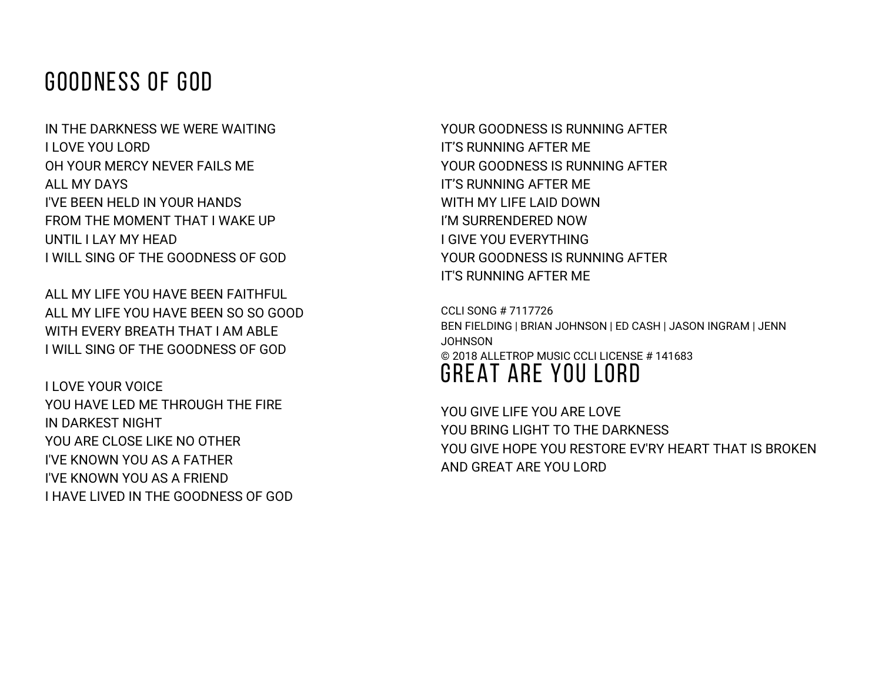#### GOODNESS OF GOD

IN THE DARKNESS WE WERE WAITING I LOVE YOU LORD OH YOUR MERCY NEVER FAILS ME ALL MY DAYS I'VE BEEN HELD IN YOUR HANDS FROM THE MOMENT THAT I WAKE UP UNTIL I LAY MY HEAD I WILL SING OF THE GOODNESS OF GOD

ALL MY LIFE YOU HAVE BEEN FAITHFUL ALL MY LIFE YOU HAVE BEEN SO SO GOOD WITH EVERY BREATH THAT I AM ABLE I WILL SING OF THE GOODNESS OF GOD

I LOVE YOUR VOICE YOU HAVE LED ME THROUGH THE FIRE IN DARKEST NIGHT YOU ARE CLOSE LIKE NO OTHER I'VE KNOWN YOU AS A FATHER I'VE KNOWN YOU AS A FRIEND I HAVE LIVED IN THE GOODNESS OF GOD

YOUR GOODNESS IS RUNNING AFTER IT'S RUNNING AFTER ME YOUR GOODNESS IS RUNNING AFTER IT'S RUNNING AFTER ME WITH MY LIFE LAID DOWN I'M SURRENDERED NOW I GIVE YOU EVERYTHING YOUR GOODNESS IS RUNNING AFTER IT'S RUNNING AFTER ME

CCLI SONG # 7117726 BEN FIELDING | BRIAN JOHNSON | ED CASH | JASON INGRAM | JENN JOHNSON © 2018 ALLETROP MUSIC CCLI LICENSE # 141683 GREAT ARE YOU LORD

YOU GIVE LIFE YOU ARE LOVE YOU BRING LIGHT TO THE DARKNESS YOU GIVE HOPE YOU RESTORE EV'RY HEART THAT IS BROKEN AND GREAT ARE YOU LORD